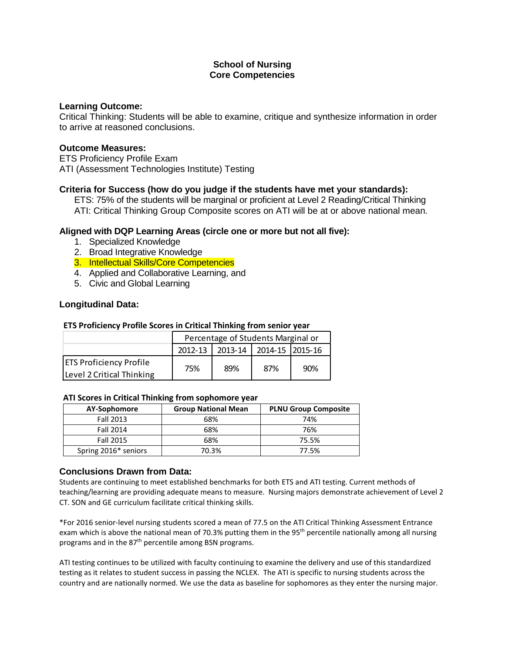#### **Learning Outcome:**

Critical Thinking: Students will be able to examine, critique and synthesize information in order to arrive at reasoned conclusions.

#### **Outcome Measures:**

ETS Proficiency Profile Exam ATI (Assessment Technologies Institute) Testing

#### **Criteria for Success (how do you judge if the students have met your standards):**

ETS: 75% of the students will be marginal or proficient at Level 2 Reading/Critical Thinking ATI: Critical Thinking Group Composite scores on ATI will be at or above national mean.

#### **Aligned with DQP Learning Areas (circle one or more but not all five):**

- 1. Specialized Knowledge
- 2. Broad Integrative Knowledge
- 3. Intellectual Skills/Core Competencies
- 4. Applied and Collaborative Learning, and
- 5. Civic and Global Learning

#### **Longitudinal Data:**

#### **ETS Proficiency Profile Scores in Critical Thinking from senior year**

|                                | Percentage of Students Marginal or     |     |     |     |  |
|--------------------------------|----------------------------------------|-----|-----|-----|--|
|                                | 2013-14 2014-15 2015-16<br>$2012 - 13$ |     |     |     |  |
| <b>ETS Proficiency Profile</b> | 75%                                    | 89% | 87% | 90% |  |
| Level 2 Critical Thinking      |                                        |     |     |     |  |

#### **ATI Scores in Critical Thinking from sophomore year**

| AY-Sophomore         | <b>Group National Mean</b> | <b>PLNU Group Composite</b> |
|----------------------|----------------------------|-----------------------------|
| Fall 2013            | 68%                        | 74%                         |
| Fall 2014            | 68%                        | 76%                         |
| Fall 2015            | 68%                        | 75.5%                       |
| Spring 2016* seniors | 70.3%                      | 77.5%                       |

#### **Conclusions Drawn from Data:**

Students are continuing to meet established benchmarks for both ETS and ATI testing. Current methods of teaching/learning are providing adequate means to measure. Nursing majors demonstrate achievement of Level 2 CT. SON and GE curriculum facilitate critical thinking skills.

\*For 2016 senior-level nursing students scored a mean of 77.5 on the ATI Critical Thinking Assessment Entrance exam which is above the national mean of 70.3% putting them in the 95<sup>th</sup> percentile nationally among all nursing programs and in the 87<sup>th</sup> percentile among BSN programs.

ATI testing continues to be utilized with faculty continuing to examine the delivery and use of this standardized testing as it relates to student success in passing the NCLEX. The ATI is specific to nursing students across the country and are nationally normed. We use the data as baseline for sophomores as they enter the nursing major.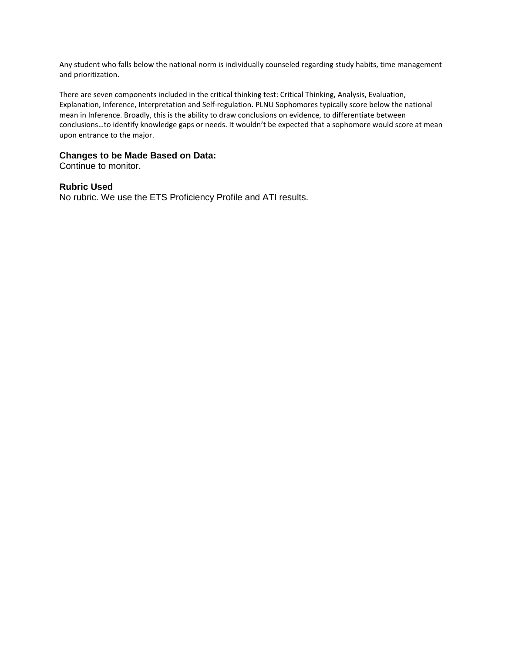Any student who falls below the national norm is individually counseled regarding study habits, time management and prioritization.

There are seven components included in the critical thinking test: Critical Thinking, Analysis, Evaluation, Explanation, Inference, Interpretation and Self-regulation. PLNU Sophomores typically score below the national mean in Inference. Broadly, this is the ability to draw conclusions on evidence, to differentiate between conclusions…to identify knowledge gaps or needs. It wouldn't be expected that a sophomore would score at mean upon entrance to the major.

#### **Changes to be Made Based on Data:**

Continue to monitor.

#### **Rubric Used**

No rubric. We use the ETS Proficiency Profile and ATI results.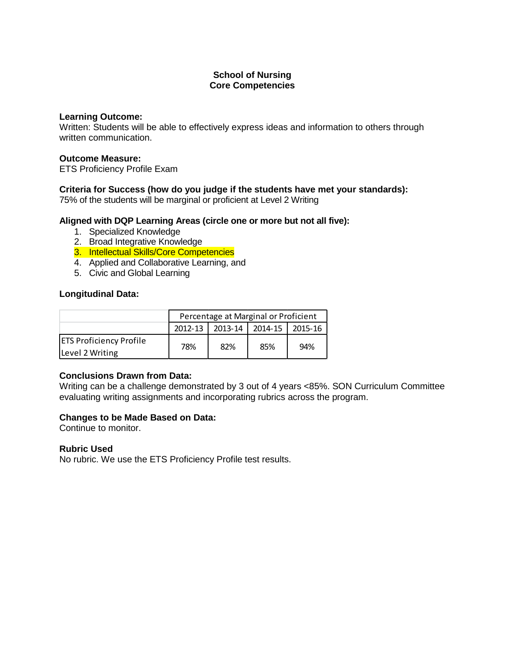#### **Learning Outcome:**

Written: Students will be able to effectively express ideas and information to others through written communication.

#### **Outcome Measure:**

ETS Proficiency Profile Exam

## **Criteria for Success (how do you judge if the students have met your standards):**

75% of the students will be marginal or proficient at Level 2 Writing

## **Aligned with DQP Learning Areas (circle one or more but not all five):**

- 1. Specialized Knowledge
- 2. Broad Integrative Knowledge
- 3. Intellectual Skills/Core Competencies
- 4. Applied and Collaborative Learning, and
- 5. Civic and Global Learning

## **Longitudinal Data:**

|                                | Percentage at Marginal or Proficient     |     |     |     |  |
|--------------------------------|------------------------------------------|-----|-----|-----|--|
|                                | 2013-14 2014-15<br>2012-13<br>$12015-16$ |     |     |     |  |
| <b>ETS Proficiency Profile</b> | 78%                                      | 82% | 85% | 94% |  |
| Level 2 Writing                |                                          |     |     |     |  |

## **Conclusions Drawn from Data:**

Writing can be a challenge demonstrated by 3 out of 4 years <85%. SON Curriculum Committee evaluating writing assignments and incorporating rubrics across the program.

## **Changes to be Made Based on Data:**

Continue to monitor.

#### **Rubric Used**

No rubric. We use the ETS Proficiency Profile test results.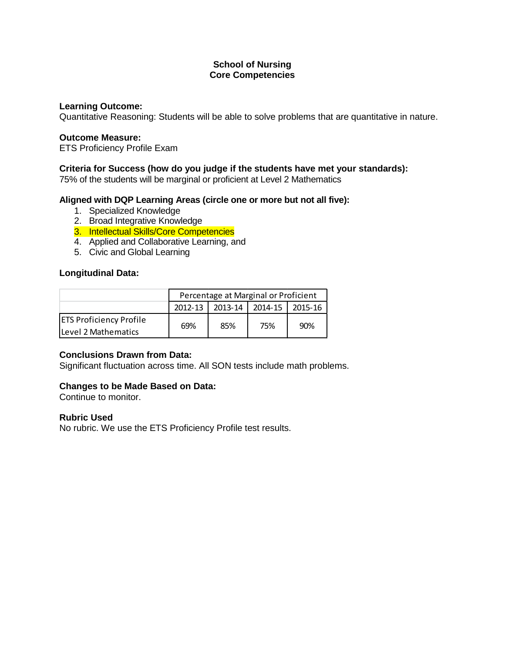#### **Learning Outcome:**

Quantitative Reasoning: Students will be able to solve problems that are quantitative in nature.

#### **Outcome Measure:**

ETS Proficiency Profile Exam

#### **Criteria for Success (how do you judge if the students have met your standards):**

75% of the students will be marginal or proficient at Level 2 Mathematics

#### **Aligned with DQP Learning Areas (circle one or more but not all five):**

- 1. Specialized Knowledge
- 2. Broad Integrative Knowledge
- 3. Intellectual Skills/Core Competencies
- 4. Applied and Collaborative Learning, and
- 5. Civic and Global Learning

#### **Longitudinal Data:**

|                                | Percentage at Marginal or Proficient  |     |     |     |  |
|--------------------------------|---------------------------------------|-----|-----|-----|--|
|                                | 2012-13   2013-14   2014-15   2015-16 |     |     |     |  |
| <b>ETS Proficiency Profile</b> | 69%                                   | 85% | 75% | 90% |  |
| <b>ILevel 2 Mathematics</b>    |                                       |     |     |     |  |

#### **Conclusions Drawn from Data:**

Significant fluctuation across time. All SON tests include math problems.

#### **Changes to be Made Based on Data:**

Continue to monitor.

#### **Rubric Used**

No rubric. We use the ETS Proficiency Profile test results.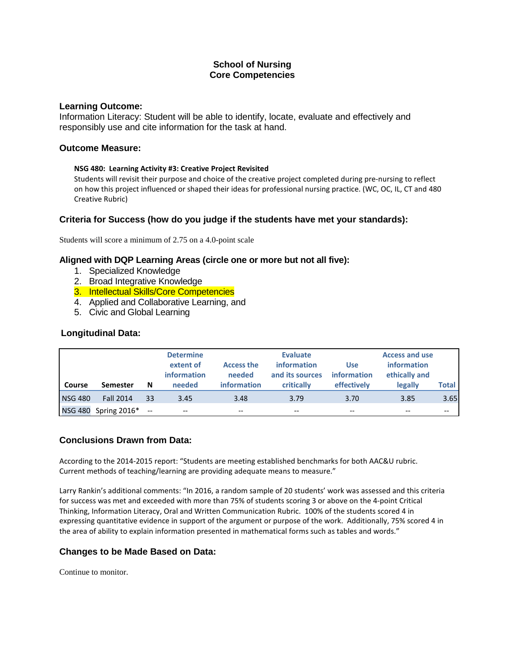#### **Learning Outcome:**

Information Literacy: Student will be able to identify, locate, evaluate and effectively and responsibly use and cite information for the task at hand.

#### **Outcome Measure:**

#### **NSG 480: Learning Activity #3: Creative Project Revisited**

Students will revisit their purpose and choice of the creative project completed during pre-nursing to reflect on how this project influenced or shaped their ideas for professional nursing practice. (WC, OC, IL, CT and 480 Creative Rubric)

## **Criteria for Success (how do you judge if the students have met your standards):**

Students will score a minimum of 2.75 on a 4.0-point scale

#### **Aligned with DQP Learning Areas (circle one or more but not all five):**

- 1. Specialized Knowledge
- 2. Broad Integrative Knowledge
- 3. Intellectual Skills/Core Competencies
- 4. Applied and Collaborative Learning, and
- 5. Civic and Global Learning

#### **Longitudinal Data:**

| Course         | <b>Semester</b>         | N  | <b>Determine</b><br>extent of<br><b>information</b><br>needed | <b>Access the</b><br>needed<br><b>information</b> | <b>Evaluate</b><br>information<br>and its sources<br>critically | <b>Use</b><br>information<br>effectively | <b>Access and use</b><br>information<br>ethically and<br>legally | Total |
|----------------|-------------------------|----|---------------------------------------------------------------|---------------------------------------------------|-----------------------------------------------------------------|------------------------------------------|------------------------------------------------------------------|-------|
| <b>NSG 480</b> | <b>Fall 2014</b>        | 33 | 3.45                                                          | 3.48                                              | 3.79                                                            | 3.70                                     | 3.85                                                             | 3.65  |
|                | NSG 480 Spring 2016* -- |    | --                                                            | --                                                | --                                                              | --                                       |                                                                  | --    |

#### **Conclusions Drawn from Data:**

According to the 2014-2015 report: "Students are meeting established benchmarks for both AAC&U rubric. Current methods of teaching/learning are providing adequate means to measure."

Larry Rankin's additional comments: "In 2016, a random sample of 20 students' work was assessed and this criteria for success was met and exceeded with more than 75% of students scoring 3 or above on the 4-point Critical Thinking, Information Literacy, Oral and Written Communication Rubric. 100% of the students scored 4 in expressing quantitative evidence in support of the argument or purpose of the work. Additionally, 75% scored 4 in the area of ability to explain information presented in mathematical forms such as tables and words."

## **Changes to be Made Based on Data:**

Continue to monitor.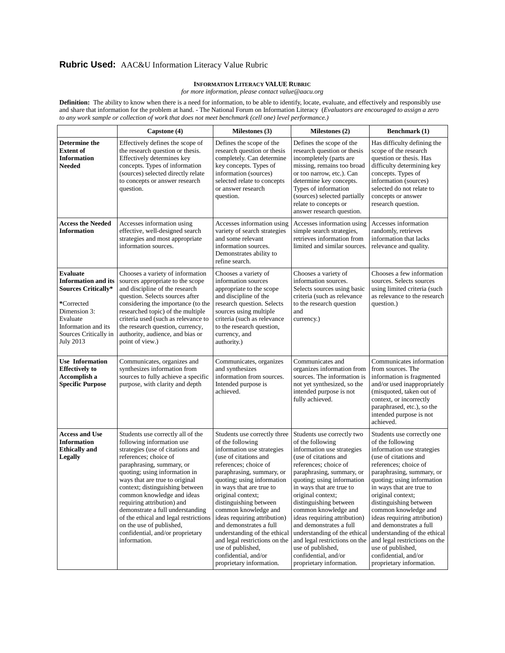# **Rubric Used:** AAC&U Information Literacy Value Rubric

#### **INFORMATION LITERACY VALUE RUBRIC**

*for more information, please contact value@aacu.org*

**Definition:** The ability to know when there is a need for information, to be able to identify, locate, evaluate, and effectively and responsibly use and share that information for the problem at hand. - The National Forum on Information Literacy (*Evaluators are encouraged to assign a zero to any work sample or collection of work that does not meet benchmark (cell one) level performance.)*

|                                                                                                                                                                                           | Capstone (4)                                                                                                                                                                                                                                                                                                                                                                                                                                                                            | Milestones (3)                                                                                                                                                                                                                                                                                                                                                                                                                                                                                      | Milestones (2)                                                                                                                                                                                                                                                                                                                                                                                                                                                                                    | Benchmark (1)                                                                                                                                                                                                                                                                                                                                                                                                                                                                                     |
|-------------------------------------------------------------------------------------------------------------------------------------------------------------------------------------------|-----------------------------------------------------------------------------------------------------------------------------------------------------------------------------------------------------------------------------------------------------------------------------------------------------------------------------------------------------------------------------------------------------------------------------------------------------------------------------------------|-----------------------------------------------------------------------------------------------------------------------------------------------------------------------------------------------------------------------------------------------------------------------------------------------------------------------------------------------------------------------------------------------------------------------------------------------------------------------------------------------------|---------------------------------------------------------------------------------------------------------------------------------------------------------------------------------------------------------------------------------------------------------------------------------------------------------------------------------------------------------------------------------------------------------------------------------------------------------------------------------------------------|---------------------------------------------------------------------------------------------------------------------------------------------------------------------------------------------------------------------------------------------------------------------------------------------------------------------------------------------------------------------------------------------------------------------------------------------------------------------------------------------------|
| Determine the<br><b>Extent of</b><br><b>Information</b><br>Needed                                                                                                                         | Effectively defines the scope of<br>the research question or thesis.<br>Effectively determines key<br>concepts. Types of information<br>(sources) selected directly relate<br>to concepts or answer research<br>question.                                                                                                                                                                                                                                                               | Defines the scope of the<br>research question or thesis<br>completely. Can determine<br>key concepts. Types of<br>information (sources)<br>selected relate to concepts<br>or answer research<br>question.                                                                                                                                                                                                                                                                                           | Defines the scope of the<br>research question or thesis<br>incompletely (parts are<br>missing, remains too broad<br>or too narrow, etc.). Can<br>determine key concepts.<br>Types of information<br>(sources) selected partially<br>relate to concepts or<br>answer research question.                                                                                                                                                                                                            | Has difficulty defining the<br>scope of the research<br>question or thesis. Has<br>difficulty determining key<br>concepts. Types of<br>information (sources)<br>selected do not relate to<br>concepts or answer<br>research question.                                                                                                                                                                                                                                                             |
| <b>Access the Needed</b><br><b>Information</b>                                                                                                                                            | Accesses information using<br>effective, well-designed search<br>strategies and most appropriate<br>information sources.                                                                                                                                                                                                                                                                                                                                                                | Accesses information using<br>variety of search strategies<br>and some relevant<br>information sources.<br>Demonstrates ability to<br>refine search.                                                                                                                                                                                                                                                                                                                                                | Accesses information using<br>simple search strategies,<br>retrieves information from<br>limited and similar sources.                                                                                                                                                                                                                                                                                                                                                                             | Accesses information<br>randomly, retrieves<br>information that lacks<br>relevance and quality.                                                                                                                                                                                                                                                                                                                                                                                                   |
| <b>Evaluate</b><br><b>Information and its</b><br><b>Sources Critically*</b><br>*Corrected<br>Dimension 3:<br>Evaluate<br>Information and its<br>Sources Critically in<br><b>July 2013</b> | Chooses a variety of information<br>sources appropriate to the scope<br>and discipline of the research<br>question. Selects sources after<br>considering the importance (to the<br>researched topic) of the multiple<br>criteria used (such as relevance to<br>the research question, currency,<br>authority, audience, and bias or<br>point of view.)                                                                                                                                  | Chooses a variety of<br>information sources<br>appropriate to the scope<br>and discipline of the<br>research question. Selects<br>sources using multiple<br>criteria (such as relevance<br>to the research question,<br>currency, and<br>authority.)                                                                                                                                                                                                                                                | Chooses a variety of<br>information sources.<br>Selects sources using basic<br>criteria (such as relevance<br>to the research question<br>and<br>currency.)                                                                                                                                                                                                                                                                                                                                       | Chooses a few information<br>sources. Selects sources<br>using limited criteria (such<br>as relevance to the research<br>question.)                                                                                                                                                                                                                                                                                                                                                               |
| <b>Use Information</b><br><b>Effectively to</b><br>Accomplish a<br><b>Specific Purpose</b>                                                                                                | Communicates, organizes and<br>synthesizes information from<br>sources to fully achieve a specific<br>purpose, with clarity and depth                                                                                                                                                                                                                                                                                                                                                   | Communicates, organizes<br>and synthesizes<br>information from sources.<br>Intended purpose is<br>achieved.                                                                                                                                                                                                                                                                                                                                                                                         | Communicates and<br>organizes information from<br>sources. The information is<br>not yet synthesized, so the<br>intended purpose is not<br>fully achieved.                                                                                                                                                                                                                                                                                                                                        | Communicates information<br>from sources. The<br>information is fragmented<br>and/or used inappropriately<br>(misquoted, taken out of<br>context, or incorrectly<br>paraphrased, etc.), so the<br>intended purpose is not<br>achieved.                                                                                                                                                                                                                                                            |
| <b>Access and Use</b><br><b>Information</b><br><b>Ethically</b> and<br><b>Legally</b>                                                                                                     | Students use correctly all of the<br>following information use<br>strategies (use of citations and<br>references; choice of<br>paraphrasing, summary, or<br>quoting; using information in<br>ways that are true to original<br>context; distinguishing between<br>common knowledge and ideas<br>requiring attribution) and<br>demonstrate a full understanding<br>of the ethical and legal restrictions<br>on the use of published,<br>confidential, and/or proprietary<br>information. | Students use correctly three<br>of the following<br>information use strategies<br>(use of citations and<br>references: choice of<br>paraphrasing, summary, or<br>quoting; using information<br>in ways that are true to<br>original context;<br>distinguishing between<br>common knowledge and<br>ideas requiring attribution)<br>and demonstrates a full<br>understanding of the ethical<br>and legal restrictions on the<br>use of published,<br>confidential, and/or<br>proprietary information. | Students use correctly two<br>of the following<br>information use strategies<br>(use of citations and<br>references; choice of<br>paraphrasing, summary, or<br>quoting; using information<br>in ways that are true to<br>original context;<br>distinguishing between<br>common knowledge and<br>ideas requiring attribution)<br>and demonstrates a full<br>understanding of the ethical<br>and legal restrictions on the<br>use of published,<br>confidential, and/or<br>proprietary information. | Students use correctly one<br>of the following<br>information use strategies<br>(use of citations and<br>references; choice of<br>paraphrasing, summary, or<br>quoting; using information<br>in ways that are true to<br>original context;<br>distinguishing between<br>common knowledge and<br>ideas requiring attribution)<br>and demonstrates a full<br>understanding of the ethical<br>and legal restrictions on the<br>use of published,<br>confidential, and/or<br>proprietary information. |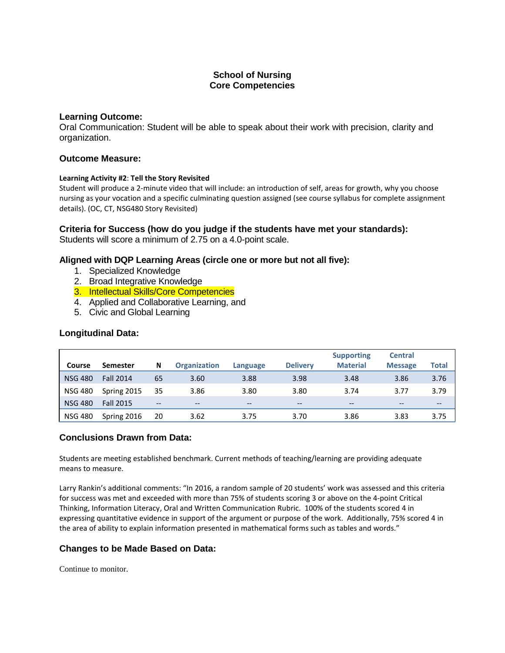#### **Learning Outcome:**

Oral Communication: Student will be able to speak about their work with precision, clarity and organization.

#### **Outcome Measure:**

#### **Learning Activity #2**: **Tell the Story Revisited**

Student will produce a 2-minute video that will include: an introduction of self, areas for growth, why you choose nursing as your vocation and a specific culminating question assigned (see course syllabus for complete assignment details). (OC, CT, NSG480 Story Revisited)

## **Criteria for Success (how do you judge if the students have met your standards):**

Students will score a minimum of 2.75 on a 4.0-point scale.

## **Aligned with DQP Learning Areas (circle one or more but not all five):**

- 1. Specialized Knowledge
- 2. Broad Integrative Knowledge
- 3. Intellectual Skills/Core Competencies
- 4. Applied and Collaborative Learning, and
- 5. Civic and Global Learning

#### **Longitudinal Data:**

|                |                  |     |                     |                   |                 | <b>Supporting</b> | <b>Central</b> |       |
|----------------|------------------|-----|---------------------|-------------------|-----------------|-------------------|----------------|-------|
| Course         | <b>Semester</b>  | N   | <b>Organization</b> | Language          | <b>Delivery</b> | <b>Material</b>   | <b>Message</b> | Total |
| <b>NSG 480</b> | <b>Fall 2014</b> | 65  | 3.60                | 3.88              | 3.98            | 3.48              | 3.86           | 3.76  |
| <b>NSG 480</b> | Spring 2015      | 35  | 3.86                | 3.80              | 3.80            | 3.74              | 3.77           | 3.79  |
| <b>NSG 480</b> | <b>Fall 2015</b> | $-$ | --                  | $\qquad \qquad -$ | $- -$           | --                | $- -$          | $- -$ |
| <b>NSG 480</b> | Spring 2016      | 20  | 3.62                | 3.75              | 3.70            | 3.86              | 3.83           | 3.75  |

#### **Conclusions Drawn from Data:**

Students are meeting established benchmark. Current methods of teaching/learning are providing adequate means to measure.

Larry Rankin's additional comments: "In 2016, a random sample of 20 students' work was assessed and this criteria for success was met and exceeded with more than 75% of students scoring 3 or above on the 4-point Critical Thinking, Information Literacy, Oral and Written Communication Rubric. 100% of the students scored 4 in expressing quantitative evidence in support of the argument or purpose of the work. Additionally, 75% scored 4 in the area of ability to explain information presented in mathematical forms such as tables and words."

#### **Changes to be Made Based on Data:**

Continue to monitor.